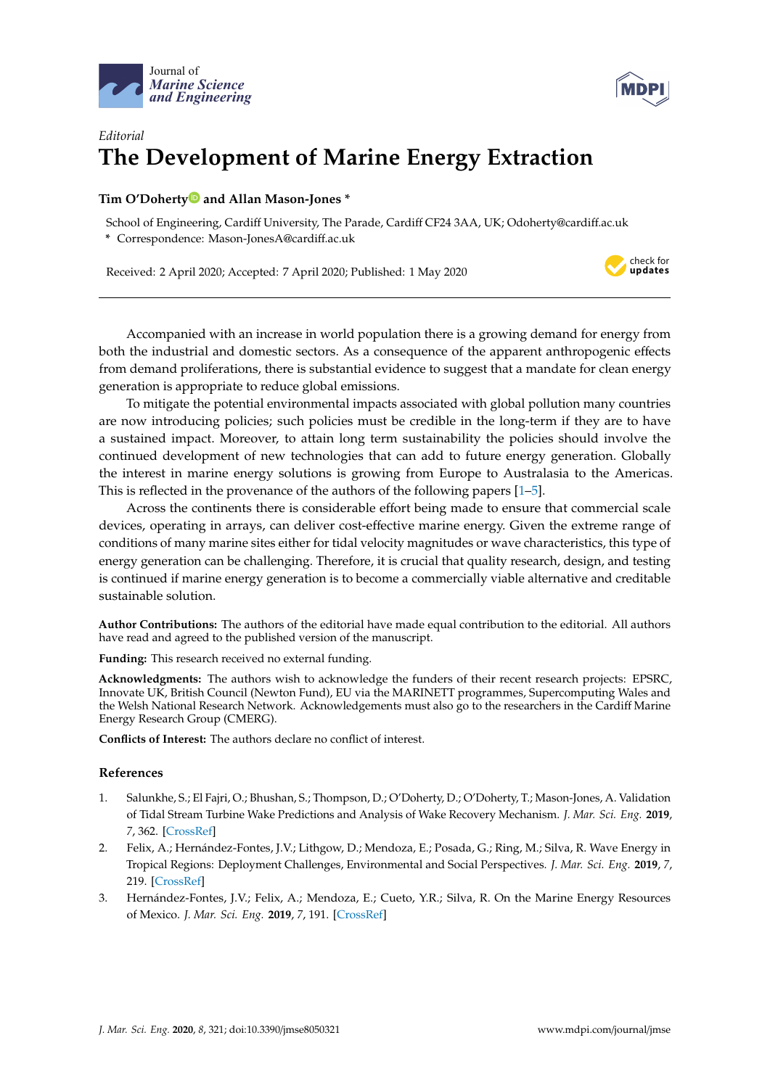



## *Editorial* **The Development of Marine Energy Extraction**

## **Tim O'Dohert[y](https://orcid.org/0000-0003-2763-7055) and Allan Mason-Jones \***

School of Engineering, Cardiff University, The Parade, Cardiff CF24 3AA, UK; Odoherty@cardiff.ac.uk

**\*** Correspondence: Mason-JonesA@cardiff.ac.uk

Received: 2 April 2020; Accepted: 7 April 2020; Published: 1 May 2020



Accompanied with an increase in world population there is a growing demand for energy from both the industrial and domestic sectors. As a consequence of the apparent anthropogenic effects from demand proliferations, there is substantial evidence to suggest that a mandate for clean energy generation is appropriate to reduce global emissions.

To mitigate the potential environmental impacts associated with global pollution many countries are now introducing policies; such policies must be credible in the long-term if they are to have a sustained impact. Moreover, to attain long term sustainability the policies should involve the continued development of new technologies that can add to future energy generation. Globally the interest in marine energy solutions is growing from Europe to Australasia to the Americas. This is reflected in the provenance of the authors of the following papers [\[1](#page-0-0)[–5\]](#page-1-0).

Across the continents there is considerable effort being made to ensure that commercial scale devices, operating in arrays, can deliver cost-effective marine energy. Given the extreme range of conditions of many marine sites either for tidal velocity magnitudes or wave characteristics, this type of energy generation can be challenging. Therefore, it is crucial that quality research, design, and testing is continued if marine energy generation is to become a commercially viable alternative and creditable sustainable solution.

**Author Contributions:** The authors of the editorial have made equal contribution to the editorial. All authors have read and agreed to the published version of the manuscript.

**Funding:** This research received no external funding.

**Acknowledgments:** The authors wish to acknowledge the funders of their recent research projects: EPSRC, Innovate UK, British Council (Newton Fund), EU via the MARINETT programmes, Supercomputing Wales and the Welsh National Research Network. Acknowledgements must also go to the researchers in the Cardiff Marine Energy Research Group (CMERG).

**Conflicts of Interest:** The authors declare no conflict of interest.

## **References**

- <span id="page-0-0"></span>1. Salunkhe, S.; El Fajri, O.; Bhushan, S.; Thompson, D.; O'Doherty, D.; O'Doherty, T.; Mason-Jones, A. Validation of Tidal Stream Turbine Wake Predictions and Analysis of Wake Recovery Mechanism. *J. Mar. Sci. Eng.* **2019**, *7*, 362. [\[CrossRef\]](http://dx.doi.org/10.3390/jmse7100362)
- 2. Felix, A.; Hernández-Fontes, J.V.; Lithgow, D.; Mendoza, E.; Posada, G.; Ring, M.; Silva, R. Wave Energy in Tropical Regions: Deployment Challenges, Environmental and Social Perspectives. *J. Mar. Sci. Eng.* **2019**, *7*, 219. [\[CrossRef\]](http://dx.doi.org/10.3390/jmse7070219)
- 3. Hernández-Fontes, J.V.; Felix, A.; Mendoza, E.; Cueto, Y.R.; Silva, R. On the Marine Energy Resources of Mexico. *J. Mar. Sci. Eng.* **2019**, *7*, 191. [\[CrossRef\]](http://dx.doi.org/10.3390/jmse7060191)